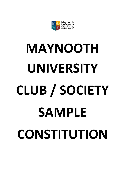

# **MAYNOOTH UNIVERSITY CLUB / SOCIETY SAMPLE CONSTITUTION**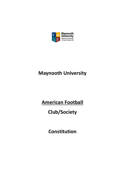

## **Maynooth University**

### **American Football**

## **Club/Society**

**Constitution**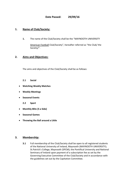#### **1. Name of Club/Society:**

**1.** The name of the Club/Society shall be the "MAYNOOTH UNIVERSITY

American Football Club/Society", hereafter referred as "the Club/ the Society/".

#### **2. Aims and Objectives:**

The aims and objectives of the Club/Society shall be as follows:

- **2.1 Social**
- **Watching Weekly Matches**
- **Weekly Meetings**
- **•** Seasonal Events
	- **2.2 Sport**
- **Monthly Blitz (5 a Side)**
- **•** Seasonal Games
- **Throwing the Ball around a Little**

#### **3. Membership:**

**3.1** Full membership of the Club/Society shall be open to all registered students of the National University of Ireland, Maynooth (MAYNOOTH UNIVERSITY); St.Patrick's College, Maynooth (SPCM); the Pontifical University and National Seminary of Ireland upon payment of a subscription fee as set by the Governing Executive Committee of the Club/Society and in accordance with the guidelines set out by the Capitation Committee.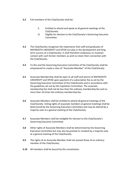- **3.2** Full members of the Club/Society shall be:
	- i) Entitled to attend and speak at all general meetings of the Club/Society
	- ii) Eligible for election to the Club/Society's Governing Executive Committee
- **3.3** The Club/Society recognises the importance that staff and graduates of MAYNOOTH UNIVERSITY and SPCM can play in the development and long term success of a Club/Society. It shall therefore endeavour to maintain contact with such former members as wish to retain their connection with the Club/Society.
- **3.4** To this end the Governing Executive Committee of the Club/Society shall be empowered to create a class of "Associate Member" of the Club/Society.
- **3.5** Associate Membership shall be open to all staff and alumni of MAYNOOTH UNIVERSITY and SPCM upon payment of a subscription fee as set by the Governing Executive Committee of the Club/Society and in accordance with the guidelines set out by the Capitation Committee. The associate membership fee shall not be less than the ordinary membership fee and no more than 10 times the ordinary membership fee.
- **3.6** Associate Members shall be entitled to attend all general meetings of the Club/Society. Voting rights of associate members at general meetings shall be determined by the Governing Executive Committee and may be altered by a majority vote at a general meeting of the Club/Society.
- **3.7** Associate Members shall be ineligible for election to the Club/Society's Governing Executive Committee.
- **3.8** Other rights of Associate Members shall be determined by the Governing Executive Committee but may also be granted or revoked by a majority vote at a general meeting of the Club/Society.
- **3.9** The rights of an Associate Member shall not exceed those of an ordinary member of the Club/Society.
- **3.10** All members shall be bound by this constitution.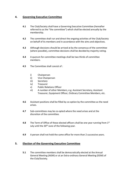#### **4. Governing Executive Committee**

- **4.1** The Club/Society shall have a Governing Executive Committee (hereafter referred to as the "the committee") which shall be elected annually by the membership.
- **4.2** The committee shall run and direct the ongoing activities of the Club/Society on behalf of its members and in accordance with the aims and objectives.
- **4.3** Although decisions should be arrived at by the consensus of the committee (where possible), committee decisions shall be decided by majority voting.
- **4.4** A quorum for committee meetings shall be two thirds of committee members.
- **4.5** The Committee shall consist of :
	- i) Chairperson
	- ii) Vice Chairperson
	- iii) Secretary
	- iv) Treasurer
	- v) Public Relations Officer
	- vi) A number of other Members, e.g. Assistant Secretary, Assistant Treasurer, Equipment Officer, Ordinary Committee Members, etc.
- **4.6** Assistant positions shall be filled by co-option by the committee as the need arises.
- **4.7** Sub-committees may be co-opted where the need arises and at the discretion of the committee.
- **4.8** The Term of Office of these elected officers shall be one year running from 1st July until the 30<sup>th</sup> June of the following year.
- **4.9** A person shall not hold the same office for more than 2 successive years.

#### **5. Election of the Governing Executive Committee**

**5.1** The committee members shall be democratically elected at the Annual General Meeting (AGM) or at an Extra-ordinary General Meeting (EGM) of the Club/Society.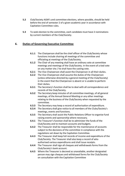- **5.2** Club/Society AGM's and committee elections, where possible, should be held before the end of semester 2 of a given academic year in accordance with Capitation Committee rules.
- **5.3** To seek election to the committee, each candidate must have 2 nominations by current members of the Club/Society.

#### **6. Duties of Governing Executive Committee**

- **6.1.1** The Chairperson shall be the chief officer of the Club/Society whose functions include chairing all meetings of the committee and officiating at meetings of the Club/Society.
- **6.1.2** The Chair of any meeting shall have an ordinary vote at committee meetings and meetings of the Club/Society. In the event of a tied vote on any matter she / he shall have the casting vote.
- **6.2.1** The Vice Chairperson shall assist the Chairperson in all their duties.
- **6.2.2** The Vice Chairperson shall assume the duties of the Chairperson (unless otherwise directed by a general meeting of the Club/Society) in the event that the Chairperson is absent or is unable to perform their duties.
- **6.3.1** The Secretary's function shall be to deal with all correspondence and records of the Club/Society.
- **6.3.2** The Secretary keep minutes of all committee meetings, of all general meetings, of the Annual General Meeting or any other meetings relating to the business of the Club/Society when requested by the committee.
- **6.3.3** The Secretary may keep a record of authorisation of expenditure.
- **6.3.4** The Secretary shall give notice to all members of the Clubs/Society's meetings, events and functions.
- **6.3.5** The Secretary shall assist the Public Relations Officer to organise fund raising events and sponsorship where necessary.
- **6.4.1** The Treasurer's function shall be to administer the funds of the Club/Society and to maintain accounts and budgets.
- **6.4.2** The Treasurer shall be responsible for the maintenance of accounts subject to the decisions of the committee in compliance with the regulations set down by the Capitation Committee.
- **6.4.3** The Treasurer shall keep full records of income and expenditure of the Club/Society. The Treasurer shall also keep a record of who authorised various expenditures and shall issue receipts.
- **6.4.4** The Treasurer shall sign all cheques and withdrawals forms from the Club/Society's bank account.
- **6.4.5** Where the Treasurer is decreed as unavailable, another designated person may sign cheques and withdrawal forms for the Club/Society on consultation with the Capitation Committee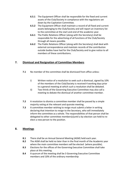- **6.5.1** The Equipment Officer shall be responsible for the fixed and current assets of the Club/Society in compliance with the regulations set down by the Capitation Committee.
- **6.5.2** The Equipment Officer shall maintain a record of all fixed and current assets belonging to the Club/Society and will report an inventory list to the committee at the start and end of the academic year.
- **6.6.1** The Public Relations Officer (along with the Secretary) shall be responsible for the advertising of all functions of the Club/Society through all means possible.
- **6.6.2** The Public Relations Officer (along with the Secretary) shall deal with external correspondence and maintain records of the contribution outside bodies have had for the Club/Society and to give notice to all members of these contributions.

#### **7. Dismissal and Resignation of Committee Members**

- **7.1** No member of the committee shall be dismissed from office unless:
	- i) Written notice of a resolution to seek such a dismissal, signed by 10% of the members of the Club/Society is received 4 working days prior to a general meeting at which such a resolution shall be debated.
	- ii) Two thirds of the Governing Executive Committee may also call a meeting to debate the dismissal of another committee member.
- **7.2** A resolution to dismiss a committee member shall be passed by a simple majority voting at the relevant and quorate meeting.
- **7.3** A committee member wishing to resign must submit a letter in writing declaring that intention to resign to the Secretary, who will immediately inform the committee as a whole. The responsibilities of that person shall be delegated to other committee members(s)until a by-election can held to reelect a new person to the position.

#### **8. Meetings**

- **8.1** There shall be an Annual General Meeting (AGM) held each year.
- **8.2** The AGM shall be held no later than in the final month of the Academic year where the main committee members will be elected (where possible).
- **8.3** Elections for the offices of the Governing Executive Committee shall take place at this meeting.
- **8.4** A quorum of the meeting shall be 3 Governing Executive Committee members and 10% of the ordinary membership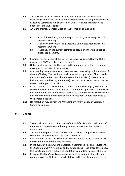- **8.5** The business of the AGM shall include elections of relevant Executive Governing Committee as well as annual reports from the outgoing Governing Executive Committee (which should include a Treasurer's report on the finances of the Club/Society).
- **8.6** An Extra-ordinary General Meeting (EGM) shall be convened if:
	- i) 10% of the ordinary membership of the Club/Society request such a meeting in writing.
	- ii) A quorum of the Governing Executive Committee requests such a meeting in writing.
	- iii) A vacancy on the current committee occurs and there is a need to elect a replacement.
- **8.7** Elections for the offices of the Governing Executive Committee shall take place at the AGM or EGM (where relevant).
- **8.8** Notice of all meetings shall be given to the membership at least 5 working days prior to the date of the meeting.
- **8.9** At a meeting, a member may propose a resolution relating to the business of the Club/Society. The resolution shall be voted on by a show of hands and a declaration of the President that the resolution is carried (unless a secret ballot is demanded by any 5 members) shall be conclusive evidence that the resolution has passed or failed.
- **8.10** In the event that the President's resolution (8.9) is challenged, a recount of the votes will be administered in which a number of appropriate people will be appointed by the committee as "tellers" to count the votes. The result will be announced by the President or the Vice-President (where requested by the general meeting).
- **8.11** No resolution may contravene Maynooth University policy or Capitation Committee policy.

#### **9. General**

- **9.1** There shall be a Honorary President of the Club/Society who shall be a staff member in compliance with the regulations set down by the Capiation Committee.
- **9.2** The membership fee for the Club/Society shall be in compliance with the conditions set down by the Capitation Committee
- **9.3** Each member of the Club/Society shall be entitled to receive a copy of this Constitution, on demand, free of charge.
- **9.4** In the event of a clash with the Capitation Committee rule and regulations, the Capitation Committee rules and regulations shall take precedence above this constitution and is subject to Capitation Committee Policy at all times.
- **9.5** In joining the Club/Society, members agree to be bound by the rules and regulations of the Club/Society as laid down in this constitution and by the